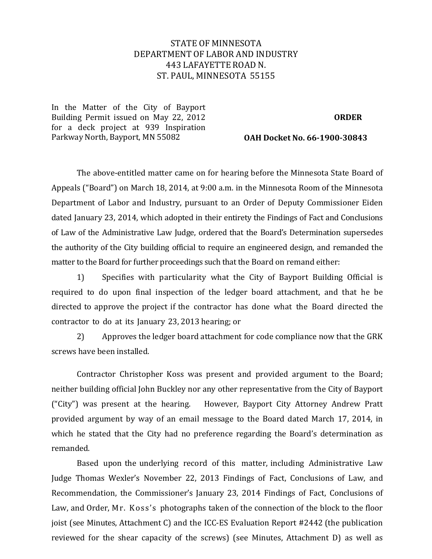# STATE OF MINNESOTA DEPARTMENTOF LABOR AND INDUSTRY 443 LAFAYETTE ROAD N. ST. PAUL, MINNESOTA 55155

In the Matter of the City of Bayport Building Permit issued on May 22, 2012 for a deck project at 939 Inspiration Parkway North, Bayport, MN 55082

#### **ORDER**

**OAH Docket No. 66-1900-30843**

The above-entitled matter came on for hearing before the Minnesota State Board of Appeals ("Board") on March 18, 2014, at 9:00 a.m. in the Minnesota Room of the Minnesota Department of Labor and Industry, pursuant to an Order of Deputy Commissioner Eiden dated January 23, 2014, which adopted in their entirety the Findings of Fact and Conclusions of Law of the Administrative Law Judge, ordered that the Board's Determination supersedes the authority of the City building official to require an engineered design, and remanded the matter to the Board for further proceedings such that the Board on remand either:

1) Specifies with particularity what the City of Bayport Building Official is required to do upon final inspection of the ledger board attachment, and that he be directed to approve the project if the contractor has done what the Board directed the contractor to do at its January 23, 2013 hearing; or

2) Approves the ledger board attachment for code compliance now that the GRK screws have been installed.

Contractor Christopher Koss was present and provided argument to the Board; neither building official John Buckley nor any other representative from the City of Bayport ("City") was present at the hearing. However, Bayport City Attorney Andrew Pratt provided argument by way of an email message to the Board dated March 17, 2014, in which he stated that the City had no preference regarding the Board's determination as remanded.

Based upon the underlying record of this matter, including Administrative Law Judge Thomas Wexler's November 22, 2013 Findings of Fact, Conclusions of Law, and Recommendation, the Commissioner's January 23, 2014 Findings of Fact, Conclusions of Law, and Order, Mr. Koss's photographs taken of the connection of the block to the floor joist (see Minutes, Attachment C) and the ICC-ES Evaluation Report #2442 (the publication reviewed for the shear capacity of the screws) (see Minutes, Attachment D) as well as